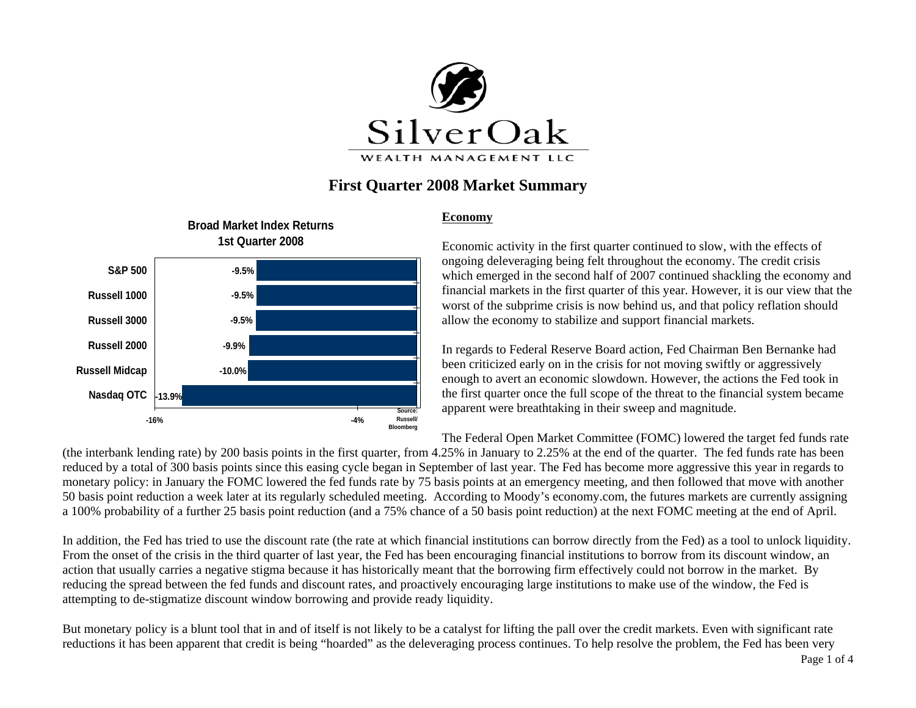

# **First Quarter 2008 Market Summary**



#### **Economy**

Economic activity in the first quarter continued to slow, with the effects of ongoing deleveraging being felt throughout the economy. The credit crisis which emerged in the second half of 2007 continued shackling the economy and financial markets in the first quarter of this year. However, it is our view that the worst of the subprime crisis is now behind us, and that policy reflation should allow the economy to stabilize and support financial markets.

In regards to Federal Reserve Board action, Fed Chairman Ben Bernanke had been criticized early on in the crisis for not moving swiftly or aggressively enough to avert an economic slowdown. However, the actions the Fed took in the first quarter once the full scope of the threat to the financial system became apparent were breathtaking in their sweep and magnitude.

The Federal Open Market Committee (FOMC) lowered the target fed funds rate

(the interbank lending rate) by 200 basis points in the first quarter, from 4.25% in January to 2.25% at the end of the quarter. The fed funds rate has been reduced by a total of 300 basis points since this easing cycle began in September of last year. The Fed has become more aggressive this year in regards to monetary policy: in January the FOMC lowered the fed funds rate by 75 basis points at an emergency meeting, and then followed that move with another 50 basis point reduction a week later at its regularly scheduled meeting. According to Moody's economy.com, the futures markets are currently assigning a 100% probability of a further 25 basis point reduction (and a 75% chance of a 50 basis point reduction) at the next FOMC meeting at the end of April.

In addition, the Fed has tried to use the discount rate (the rate at which financial institutions can borrow directly from the Fed) as a tool to unlock liquidity. From the onset of the crisis in the third quarter of last year, the Fed has been encouraging financial institutions to borrow from its discount window, an action that usually carries a negative stigma because it has historically meant that the borrowing firm effectively could not borrow in the market. By reducing the spread between the fed funds and discount rates, and proactively encouraging large institutions to make use of the window, the Fed is attempting to de-stigmatize discount window borrowing and provide ready liquidity.

But monetary policy is a blunt tool that in and of itself is not likely to be a catalyst for lifting the pall over the credit markets. Even with significant rate reductions it has been apparent that credit is being "hoarded" as the deleveraging process continues. To help resolve the problem, the Fed has been very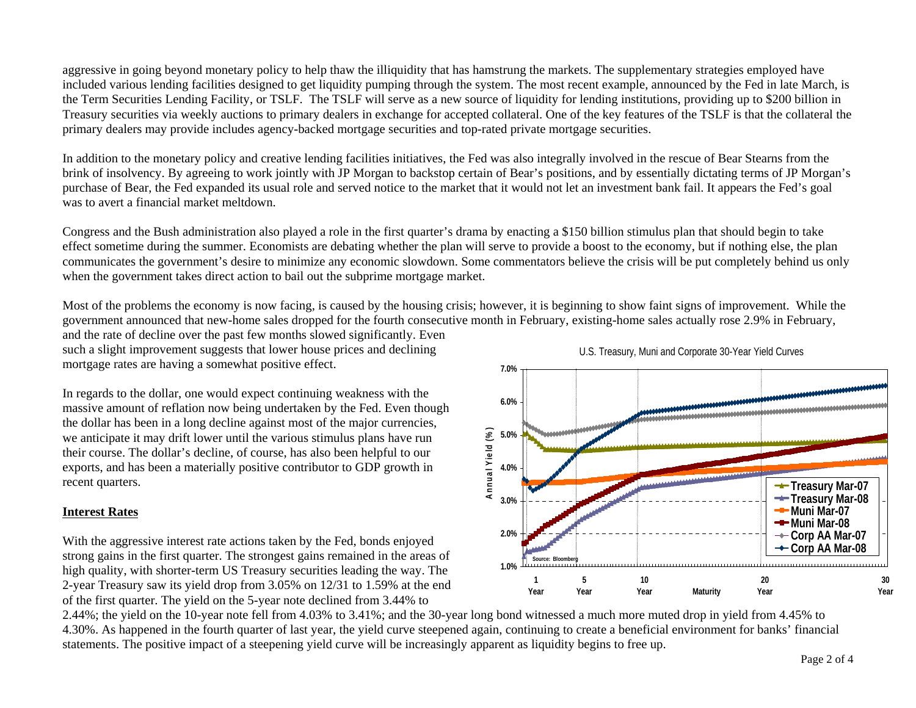aggressive in going beyond monetary policy to help thaw the illiquidity that has hamstrung the markets. The supplementary strategies employed have included various lending facilities designed to get liquidity pumping through the system. The most recent example, announced by the Fed in late March, is the Term Securities Lending Facility, or TSLF. The TSLF will serve as a new source of liquidity for lending institutions, providing up to \$200 billion in Treasury securities via weekly auctions to primary dealers in exchange for accepted collateral. One of the key features of the TSLF is that the collateral the primary dealers may provide includes agency-backed mortgage securities and top-rated private mortgage securities.

In addition to the monetary policy and creative lending facilities initiatives, the Fed was also integrally involved in the rescue of Bear Stearns from the brink of insolvency. By agreeing to work jointly with JP Morgan to backstop certain of Bear's positions, and by essentially dictating terms of JP Morgan's purchase of Bear, the Fed expanded its usual role and served notice to the market that it would not let an investment bank fail. It appears the Fed's goal was to avert a financial market meltdown.

Congress and the Bush administration also played a role in the first quarter's drama by enacting a \$150 billion stimulus plan that should begin to take effect sometime during the summer. Economists are debating whether the plan will serve to provide a boost to the economy, but if nothing else, the plan communicates the government's desire to minimize any economic slowdown. Some commentators believe the crisis will be put completely behind us only when the government takes direct action to bail out the subprime mortgage market.

Most of the problems the economy is now facing, is caused by the housing crisis; however, it is beginning to show faint signs of improvement. While the government announced that new-home sales dropped for the fourth consecutive month in February, existing-home sales actually rose 2.9% in February,

and the rate of decline over the past few months slowed significantly. Even such a slight improvement suggests that lower house prices and declining mortgage rates are having a somewhat positive effect.

In regards to the dollar, one would expect continuing weakness with the massive amount of reflation now being undertaken by the Fed. Even though the dollar has been in a long decline against most of the major currencies, we anticipate it may drift lower until the various stimulus plans have run their course. The dollar's decline, of course, has also been helpful to our exports, and has been a materially positive contributor to GDP growth in recent quarters.

## **Interest Rates**

With the aggressive interest rate actions taken by the Fed, bonds enjoyed strong gains in the first quarter. The strongest gains remained in the areas of high quality, with shorter-term US Treasury securities leading the way. The 2-year Treasury saw its yield drop from 3.05% on 12/31 to 1.59% at the end of the first quarter. The yield on the 5-year note declined from 3.44% to



2.44%; the yield on the 10-year note fell from 4.03% to 3.41%; and the 30-year long bond witnessed a much more muted drop in yield from 4.45% to 4.30%. As happened in the fourth quarter of last year, the yield curve steepened again, continuing to create a beneficial environment for banks' financial statements. The positive impact of a steepening yield curve will be increasingly apparent as liquidity begins to free up.

U.S. Treasury, Muni and Corporate 30-Year Yield Curves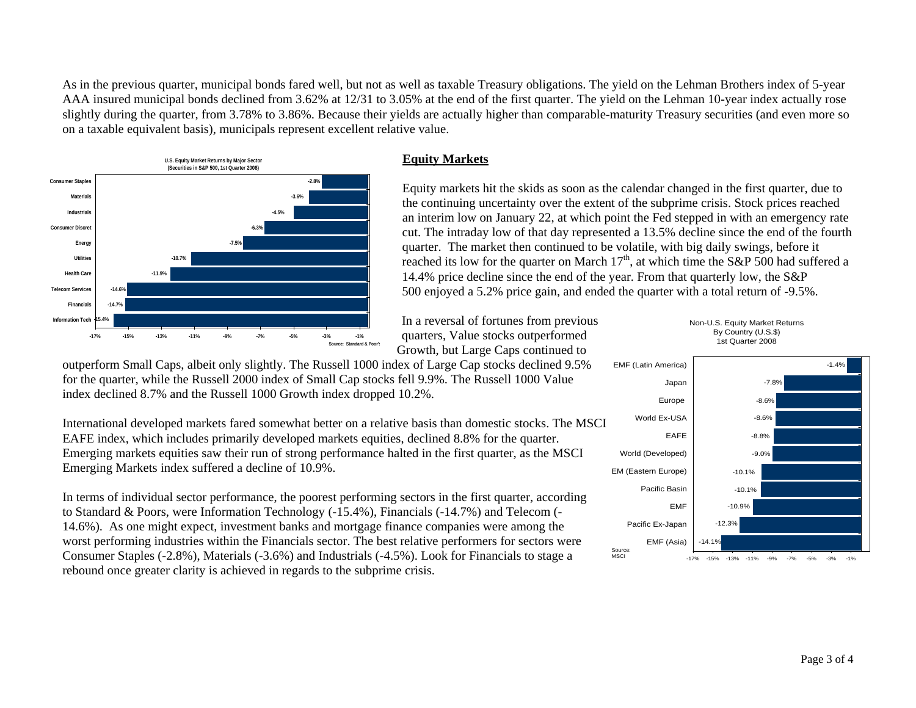As in the previous quarter, municipal bonds fared well, but not as well as taxable Treasury obligations. The yield on the Lehman Brothers index of 5-year AAA insured municipal bonds declined from 3.62% at 12/31 to 3.05% at the end of the first quarter. The yield on the Lehman 10-year index actually rose slightly during the quarter, from 3.78% to 3.86%. Because their yields are actually higher than comparable-maturity Treasury securities (and even more so on a taxable equivalent basis), municipals represent excellent relative value.



Equity markets hit the skids as soon as the calendar changed in the first quarter, due to the continuing uncertainty over the extent of the subprime crisis. Stock prices reached an interim low on January 22, at which point the Fed stepped in with an emergency rate cut. The intraday low of that day represented a 13.5% decline since the end of the fourth quarter. The market then continued to be volatile, with big daily swings, before it reached its low for the quarter on March  $17<sup>th</sup>$ , at which time the S&P 500 had suffered a 14.4% price decline since the end of the year. From that quarterly low, the S&P 500 enjoyed a 5.2% price gain, and ended the quarter with a total return of -9.5%.

In a reversal of fortunes from previous quarters, Value stocks outperformed Growth, but Large Caps continued to

outperform Small Caps, albeit only slightly. The Russell 1000 index of Large Cap stocks declined 9.5% for the quarter, while the Russell 2000 index of Small Cap stocks fell 9.9%. The Russell 1000 Value index declined 8.7% and the Russell 1000 Growth index dropped 10.2%.

International developed markets fared somewhat better on a relative basis than domestic stocks. The MSCI EAFE index, which includes primarily developed markets equities, declined 8.8% for the quarter. Emerging markets equities saw their run of strong performance halted in the first quarter, as the MSCI Emerging Markets index suffered a decline of 10.9%.

In terms of individual sector performance, the poorest performing sectors in the first quarter, according to Standard & Poors, were Information Technology (-15.4%), Financials (-14.7%) and Telecom (- 14.6%). As one might expect, investment banks and mortgage finance companies were among the worst performing industries within the Financials sector. The best relative performers for sectors were Consumer Staples (-2.8%), Materials (-3.6%) and Industrials (-4.5%). Look for Financials to stage a rebound once greater clarity is achieved in regards to the subprime crisis.



 $-14.1$ 

EMF (Asia)

Source: M<sub>SCI</sub>



Non-U.S. Equity Market Returns By Country (U.S.\$)